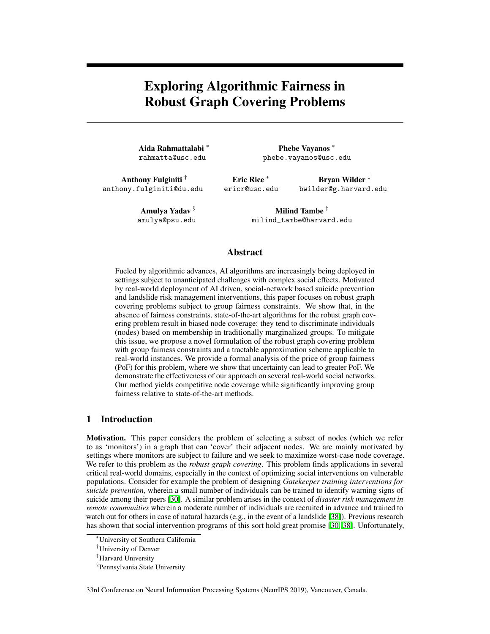# <span id="page-0-2"></span><span id="page-0-1"></span>Exploring Algorithmic Fairness in Robust Graph Covering Problems

Aida Rahmattalabi \* rahmatta@usc.edu

Phebe Vayanos \* phebe.vayanos@usc.edu

Anthony Fulginiti *†* anthony.fulginiti@du.edu

Eric Rice<sup>\*</sup> ericr@usc.edu

Bryan Wilder *‡* bwilder@g.harvard.edu

Amulya Yadav *§* amulya@psu.edu

Milind Tambe *‡* milind\_tambe@harvard.edu

# Abstract

Fueled by algorithmic advances, AI algorithms are increasingly being deployed in settings subject to unanticipated challenges with complex social effects. Motivated by real-world deployment of AI driven, social-network based suicide prevention and landslide risk management interventions, this paper focuses on robust graph covering problems subject to group fairness constraints. We show that, in the absence of fairness constraints, state-of-the-art algorithms for the robust graph covering problem result in biased node coverage: they tend to discriminate individuals (nodes) based on membership in traditionally marginalized groups. To mitigate this issue, we propose a novel formulation of the robust graph covering problem with group fairness constraints and a tractable approximation scheme applicable to real-world instances. We provide a formal analysis of the price of group fairness (PoF) for this problem, where we show that uncertainty can lead to greater PoF. We demonstrate the effectiveness of our approach on several real-world social networks. Our method yields competitive node coverage while significantly improving group fairness relative to state-of-the-art methods.

## 1 Introduction

<span id="page-0-0"></span>Motivation. This paper considers the problem of selecting a subset of nodes (which we refer to as 'monitors') in a graph that can 'cover' their adjacent nodes. We are mainly motivated by settings where monitors are subject to failure and we seek to maximize worst-case node coverage. We refer to this problem as the *robust graph covering*. This problem finds applications in several critical real-world domains, especially in the context of optimizing social interventions on vulnerable populations. Consider for example the problem of designing *Gatekeeper training interventions for suicide prevention*, wherein a small number of individuals can be trained to identify warning signs of suicide among their peers [\[30\]](#page-10-0). A similar problem arises in the context of *disaster risk management in remote communities* wherein a moderate number of individuals are recruited in advance and trained to watch out for others in case of natural hazards (e.g., in the event of a landslide  $[38]$ ). Previous research has shown that social intervention programs of this sort hold great promise [\[30,](#page-10-0) [38\]](#page-11-0). Unfortunately,

33rd Conference on Neural Information Processing Systems (NeurIPS 2019), Vancouver, Canada.

<sup>⇤</sup>University of Southern California

*<sup>†</sup>* University of Denver

*<sup>‡</sup>* Harvard University

*<sup>§</sup>* Pennsylvania State University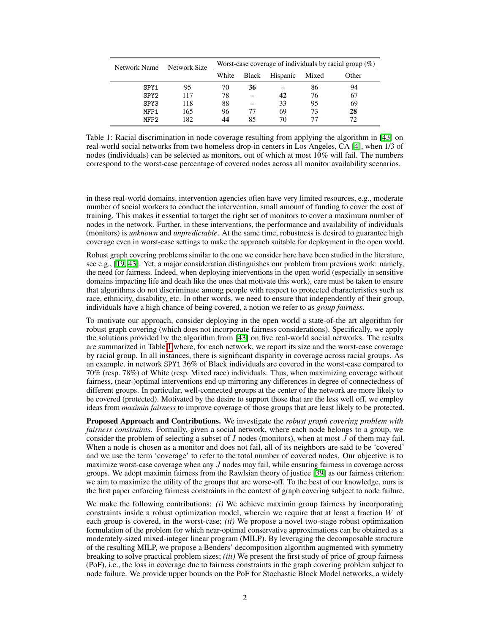<span id="page-1-0"></span>

| Network Name     | Network Size | Worst-case coverage of individuals by racial group $(\%)$ |       |          |       |       |  |  |
|------------------|--------------|-----------------------------------------------------------|-------|----------|-------|-------|--|--|
|                  |              | White                                                     | Black | Hispanic | Mixed | Other |  |  |
| SPY1             | 95           | 70                                                        | 36    |          | 86    | 94    |  |  |
| SPY <sub>2</sub> | 117          | 78                                                        |       | 42       | 76    | 67    |  |  |
| SPY3             | 118          | 88                                                        |       | 33       | 95    | 69    |  |  |
| MFP1             | 165          | 96                                                        | 77    | 69       | 73    | 28    |  |  |
| MFP2             | 182          | 44                                                        | 85    | 70       |       | 72    |  |  |

Table 1: Racial discrimination in node coverage resulting from applying the algorithm in [\[43\]](#page-11-1) on real-world social networks from two homeless drop-in centers in Los Angeles, CA [\[4\]](#page-9-0), when 1/3 of nodes (individuals) can be selected as monitors, out of which at most 10% will fail. The numbers correspond to the worst-case percentage of covered nodes across all monitor availability scenarios.

in these real-world domains, intervention agencies often have very limited resources, e.g., moderate number of social workers to conduct the intervention, small amount of funding to cover the cost of training. This makes it essential to target the right set of monitors to cover a maximum number of nodes in the network. Further, in these interventions, the performance and availability of individuals (monitors) is *unknown* and *unpredictable*. At the same time, robustness is desired to guarantee high coverage even in worst-case settings to make the approach suitable for deployment in the open world.

Robust graph covering problems similar to the one we consider here have been studied in the literature, see e.g.,  $[19, 43]$  $[19, 43]$  $[19, 43]$ . Yet, a major consideration distinguishes our problem from previous work: namely, the need for fairness. Indeed, when deploying interventions in the open world (especially in sensitive domains impacting life and death like the ones that motivate this work), care must be taken to ensure that algorithms do not discriminate among people with respect to protected characteristics such as race, ethnicity, disability, etc. In other words, we need to ensure that independently of their group, individuals have a high chance of being covered, a notion we refer to as *group fairness*.

To motivate our approach, consider deploying in the open world a state-of-the art algorithm for robust graph covering (which does not incorporate fairness considerations). Specifically, we apply the solutions provided by the algorithm from  $[43]$  on five real-world social networks. The results are summarized in Table  $\overline{1}$  where, for each network, we report its size and the worst-case coverage by racial group. In all instances, there is significant disparity in coverage across racial groups. As an example, in network SPY1 36% of Black individuals are covered in the worst-case compared to 70% (resp. 78%) of White (resp. Mixed race) individuals. Thus, when maximizing coverage without fairness, (near-)optimal interventions end up mirroring any differences in degree of connectedness of different groups. In particular, well-connected groups at the center of the network are more likely to be covered (protected). Motivated by the desire to support those that are the less well off, we employ ideas from *maximin fairness* to improve coverage of those groups that are least likely to be protected.

Proposed Approach and Contributions. We investigate the *robust graph covering problem with fairness constraints*. Formally, given a social network, where each node belongs to a group, we consider the problem of selecting a subset of *I* nodes (monitors), when at most *J* of them may fail. When a node is chosen as a monitor and does not fail, all of its neighbors are said to be 'covered' and we use the term 'coverage' to refer to the total number of covered nodes. Our objective is to maximize worst-case coverage when any *J* nodes may fail, while ensuring fairness in coverage across groups. We adopt maximin fairness from the Rawlsian theory of justice [\[39\]](#page-11-2) as our fairness criterion: we aim to maximize the utility of the groups that are worse-off. To the best of our knowledge, ours is the first paper enforcing fairness constraints in the context of graph covering subject to node failure.

We make the following contributions: *(i)* We achieve maximin group fairness by incorporating constraints inside a robust optimization model, wherein we require that at least a fraction *W* of each group is covered, in the worst-case; *(ii)* We propose a novel two-stage robust optimization formulation of the problem for which near-optimal conservative approximations can be obtained as a moderately-sized mixed-integer linear program (MILP). By leveraging the decomposable structure of the resulting MILP, we propose a Benders' decomposition algorithm augmented with symmetry breaking to solve practical problem sizes; *(iii)* We present the first study of price of group fairness (PoF), i.e., the loss in coverage due to fairness constraints in the graph covering problem subject to node failure. We provide upper bounds on the PoF for Stochastic Block Model networks, a widely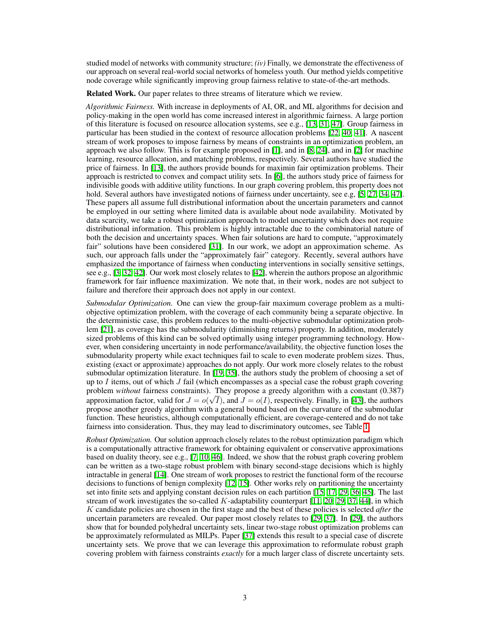studied model of networks with community structure; *(iv)* Finally, we demonstrate the effectiveness of our approach on several real-world social networks of homeless youth. Our method yields competitive node coverage while significantly improving group fairness relative to state-of-the-art methods.

Related Work. Our paper relates to three streams of literature which we review.

*Algorithmic Fairness.* With increase in deployments of AI, OR, and ML algorithms for decision and policy-making in the open world has come increased interest in algorithmic fairness. A large portion of this literature is focused on resource allocation systems, see e.g.,  $[13, 31, 47]$  $[13, 31, 47]$  $[13, 31, 47]$  $[13, 31, 47]$  $[13, 31, 47]$ . Group fairness in particular has been studied in the context of resource allocation problems  $[22, 40, 41]$  $[22, 40, 41]$  $[22, 40, 41]$  $[22, 40, 41]$  $[22, 40, 41]$ . A nascent stream of work proposes to impose fairness by means of constraints in an optimization problem, an approach we also follow. This is for example proposed in  $\left[\prod_{n=1}^{\infty}$  and in  $\left[\frac{1}{2}\right]$  for machine learning, resource allocation, and matching problems, respectively. Several authors have studied the price of fairness. In [\[13\]](#page-9-1), the authors provide bounds for maximin fair optimization problems. Their approach is restricted to convex and compact utility sets. In  $[6]$ , the authors study price of fairness for indivisible goods with additive utility functions. In our graph covering problem, this property does not hold. Several authors have investigated notions of fairness under uncertainty, see e.g,  $[5, 27, 34, 47]$  $[5, 27, 34, 47]$  $[5, 27, 34, 47]$  $[5, 27, 34, 47]$  $[5, 27, 34, 47]$  $[5, 27, 34, 47]$  $[5, 27, 34, 47]$ . These papers all assume full distributional information about the uncertain parameters and cannot be employed in our setting where limited data is available about node availability. Motivated by data scarcity, we take a robust optimization approach to model uncertainty which does not require distributional information. This problem is highly intractable due to the combinatorial nature of both the decision and uncertainty spaces. When fair solutions are hard to compute, "approximately fair" solutions have been considered  $[31]$ . In our work, we adopt an approximation scheme. As such, our approach falls under the "approximately fair" category. Recently, several authors have emphasized the importance of fairness when conducting interventions in socially sensitive settings, see e.g.,  $[3, 32, 42]$  $[3, 32, 42]$  $[3, 32, 42]$  $[3, 32, 42]$  $[3, 32, 42]$ . Our work most closely relates to  $[42]$ , wherein the authors propose an algorithmic framework for fair influence maximization. We note that, in their work, nodes are not subject to failure and therefore their approach does not apply in our context.

*Submodular Optimization.* One can view the group-fair maximum coverage problem as a multiobjective optimization problem, with the coverage of each community being a separate objective. In the deterministic case, this problem reduces to the multi-objective submodular optimization problem  $[21]$ , as coverage has the submodularity (diminishing returns) property. In addition, moderately sized problems of this kind can be solved optimally using integer programming technology. However, when considering uncertainty in node performance/availability, the objective function loses the submodularity property while exact techniques fail to scale to even moderate problem sizes. Thus, existing (exact or approximate) approaches do not apply. Our work more closely relates to the robust submodular optimization literature. In  $\Box$   $\Box$   $\Box$ , the authors study the problem of choosing a set of up to  $I$  items, out of which  $J$  fail (which encompasses as a special case the robust graph covering problem *without* fairness constraints). They propose a greedy algorithm with a constant (0.387) approximation factor, valid for  $J = o(\sqrt{I})$ , and  $J = o(I)$ , respectively. Finally, in  $\boxed{43}$ , the authors propose another greedy algorithm with a general bound based on the curvature of the submodular function. These heuristics, although computationally efficient, are coverage-centered and do not take fairness into consideration. Thus, they may lead to discriminatory outcomes, see Table  $\Pi$ .

*Robust Optimization.* Our solution approach closely relates to the robust optimization paradigm which is a computationally attractive framework for obtaining equivalent or conservative approximations based on duality theory, see e.g.,  $\sqrt{2}$ ,  $\sqrt{10}$ ,  $\sqrt{46}$ . Indeed, we show that the robust graph covering problem can be written as a two-stage robust problem with binary second-stage decisions which is highly intractable in general [\[14\]](#page-9-10). One stream of work proposes to restrict the functional form of the recourse decisions to functions of benign complexity  $\boxed{12}$ ,  $\boxed{15}$ . Other works rely on partitioning the uncertainty set into finite sets and applying constant decision rules on each partition  $[15, 17, 29, 36, 45]$  $[15, 17, 29, 36, 45]$  $[15, 17, 29, 36, 45]$  $[15, 17, 29, 36, 45]$  $[15, 17, 29, 36, 45]$  $[15, 17, 29, 36, 45]$  $[15, 17, 29, 36, 45]$  $[15, 17, 29, 36, 45]$  $[15, 17, 29, 36, 45]$ . The last stream of work investigates the so-called *K*-adaptability counterpart [\[11,](#page-9-13) [20,](#page-10-11) [29,](#page-10-10) [37,](#page-11-11) [44\]](#page-11-12), in which *K* candidate policies are chosen in the first stage and the best of these policies is selected *after* the uncertain parameters are revealed. Our paper most closely relates to  $[29, 37]$  $[29, 37]$  $[29, 37]$ . In  $[29]$ , the authors show that for bounded polyhedral uncertainty sets, linear two-stage robust optimization problems can be approximately reformulated as MILPs. Paper [\[37\]](#page-11-11) extends this result to a special case of discrete uncertainty sets. We prove that we can leverage this approximation to reformulate robust graph covering problem with fairness constraints *exactly* for a much larger class of discrete uncertainty sets.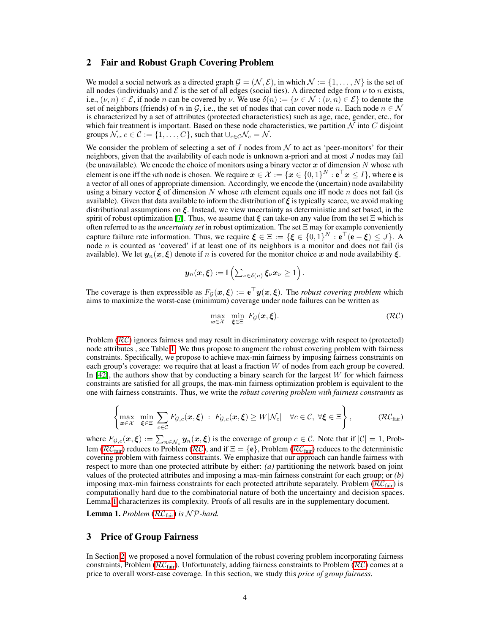### <span id="page-3-2"></span>2 Fair and Robust Graph Covering Problem

We model a social network as a directed graph  $\mathcal{G} = (\mathcal{N}, \mathcal{E})$ , in which  $\mathcal{N} := \{1, \ldots, N\}$  is the set of all nodes (individuals) and  $\mathcal E$  is the set of all edges (social ties). A directed edge from  $\nu$  to *n* exists, i.e.,  $(\nu, n) \in \mathcal{E}$ , if node *n* can be covered by  $\nu$ . We use  $\delta(n) := {\nu \in \mathcal{N} : (\nu, n) \in \mathcal{E}}$  to denote the set of neighbors (friends) of *n* in  $G$ , i.e., the set of nodes that can cover node *n*. Each node  $n \in \mathcal{N}$ is characterized by a set of attributes (protected characteristics) such as age, race, gender, etc., for which fair treatment is important. Based on these node characteristics, we partition  $N$  into  $C$  disjoint groups  $\mathcal{N}_c$ ,  $c \in \mathcal{C} := \{1, \ldots, C\}$ , such that  $\cup_{c \in \mathcal{C}} \mathcal{N}_c = \mathcal{N}$ .

We consider the problem of selecting a set of *I* nodes from  $N$  to act as 'peer-monitors' for their neighbors, given that the availability of each node is unknown a-priori and at most *J* nodes may fail (be unavailable). We encode the choice of monitors using a binary vector *x* of dimension *N* whose *n*th element is one iff the *n*th node is chosen. We require  $x \in \mathcal{X} := \{x \in \{0,1\}^N : e^{\top} x \leq I\}$ , where **e** is a vector of all ones of appropriate dimension. Accordingly, we encode the (uncertain) node availability using a binary vector  $\xi$  of dimension *N* whose *n*th element equals one iff node *n* does not fail (is available). Given that data available to inform the distribution of  $\xi$  is typically scarce, we avoid making distributional assumptions on  $\xi$ . Instead, we view uncertainty as deterministic and set based, in the spirit of robust optimization  $\boxed{7}$ . Thus, we assume that  $\xi$  can take-on any value from the set  $\Xi$  which is often referred to as the *uncertainty set* in robust optimization. The set  $\Xi$  may for example conveniently capture failure rate information. Thus, we require  $\xi \in \Xi := {\{\xi \in \{0,1\}^N : e^{\top} (e - \xi) \leq J\}}$ . A node *n* is counted as 'covered' if at least one of its neighbors is a monitor and does not fail (is available). We let  $y_n(x,\xi)$  denote if *n* is covered for the monitor choice x and node availability  $\xi$ .

$$
\boldsymbol{y}_n(\boldsymbol{x}, \boldsymbol{\xi}) := \mathbb{I}\left(\sum_{\nu \in \delta(n)} \boldsymbol{\xi}_{\nu} \boldsymbol{x}_{\nu} \geq 1\right).
$$

The coverage is then expressible as  $F_{\mathcal{G}}(x,\xi) := e^{\top}y(x,\xi)$ . The *robust covering problem* which aims to maximize the worst-case (minimum) coverage under node failures can be written as

<span id="page-3-0"></span>
$$
\max_{\boldsymbol{x}\in\mathcal{X}}\ \min_{\boldsymbol{\xi}\in\Xi}\ F_{\mathcal{G}}(\boldsymbol{x},\boldsymbol{\xi}).\tag{RC}
$$

Problem ( $\overline{\mathcal{R}\mathcal{C}}$ ) ignores fairness and may result in discriminatory coverage with respect to (protected) node attributes, see Table  $\Pi$ . We thus propose to augment the robust covering problem with fairness constraints. Specifically, we propose to achieve max-min fairness by imposing fairness constraints on each group's coverage: we require that at least a fraction *W* of nodes from each group be covered. In  $[42]$ , the authors show that by conducting a binary search for the largest *W* for which fairness constraints are satisfied for all groups, the max-min fairness optimization problem is equivalent to the one with fairness constraints. Thus, we write the *robust covering problem with fairness constraints* as

$$
\left\{\max_{\boldsymbol{x}\in\mathcal{X}}\ \min_{\boldsymbol{\xi}\in\Xi}\ \sum_{c\in\mathcal{C}}F_{\mathcal{G},c}(\boldsymbol{x},\boldsymbol{\xi})\ :\ F_{\mathcal{G},c}(\boldsymbol{x},\boldsymbol{\xi})\geq W|\mathcal{N}_c| \quad \forall c\in\mathcal{C},\ \forall \boldsymbol{\xi}\in\Xi\right\},\tag{RCfair}
$$

where  $F_{\mathcal{G},c}(\mathbf{x}, \boldsymbol{\xi}) := \sum_{n \in \mathcal{N}_c} y_n(\mathbf{x}, \boldsymbol{\xi})$  is the coverage of group  $c \in \mathcal{C}$ . Note that if  $|\mathcal{C}| = 1$ , Problem ( $\overline{RC_{fair}}$  $\overline{RC_{fair}}$  $\overline{RC_{fair}}$ ) reduces to Problem ( $\overline{RC}$ ), and if  $\Xi = \{e\}$ , Problem ( $\overline{RC_{fair}}$ ) reduces to the deterministic covering problem with fairness constraints. We emphasize that our approach can handle fairness with respect to more than one protected attribute by either: *(a)* partitioning the network based on joint values of the protected attributes and imposing a max-min fairness constraint for each group; or *(b)* imposing max-min fairness constraints for each protected attribute separately. Problem  $(\overline{RC_{\text{fair}}})$  is computationally hard due to the combinatorial nature of both the uncertainty and decision spaces. Lemma  $\prod$  characterizes its complexity. Proofs of all results are in the supplementary document.

<span id="page-3-1"></span>Lemma 1. *Problem* (*RC*[fair\)](#page-3-0) *is N P-hard.*

### 3 Price of Group Fairness

In Section  $\boxed{2}$ , we proposed a novel formulation of the robust covering problem incorporating fairness constraints, Problem (*RC*[fair\)](#page-3-0). Unfortunately, adding fairness constraints to Problem (*[RC](#page-3-0)*) comes at a price to overall worst-case coverage. In this section, we study this *price of group fairness*.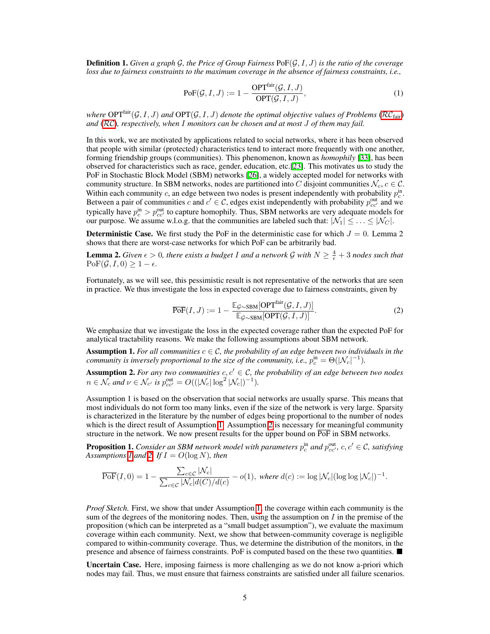Definition 1. *Given a graph G, the Price of Group Fairness* PoF(*G,I,J*) *is the ratio of the coverage loss due to fairness constraints to the maximum coverage in the absence of fairness constraints, i.e.,*

$$
PoF(\mathcal{G}, I, J) := 1 - \frac{OPT^{\text{fair}}(\mathcal{G}, I, J)}{OPT(\mathcal{G}, I, J)},
$$
\n(1)

*where*  $OPT^{\text{fair}}(\mathcal{G}, I, J)$  *and*  $OPT(\mathcal{G}, I, J)$  *denote the optimal objective values of Problems* (*RC*<sub>fair</sub>) *and* (*[RC](#page-3-0)*)*, respectively, when I monitors can be chosen and at most J of them may fail.*

In this work, we are motivated by applications related to social networks, where it has been observed that people with similar (protected) characteristics tend to interact more frequently with one another, forming friendship groups (communities). This phenomenon, known as *homophily* [\[33\]](#page-10-12), has been observed for characteristics such as race, gender, education, etc. $[23]$ . This motivates us to study the PoF in Stochastic Block Model (SBM) networks  $[26]$ , a widely accepted model for networks with community structure. In SBM networks, nodes are partitioned into *C* disjoint communities  $N_c$ ,  $c \in \mathcal{C}$ . Within each community *c*, an edge between two nodes is present independently with probability  $p_c^{\text{in}}$ . Between a pair of communities *c* and  $c' \in C$ , edges exist independently with probability  $p_{cc'}^{\text{out}}$  and we typically have  $p_c^{\text{in}} > p_{cc'}^{\text{out}}$  to capture homophily. Thus, SBM networks are very adequate models for our purpose. We assume w.l.o.g. that the communities are labeled such that:  $|\mathcal{N}_1| \leq \ldots \leq |\mathcal{N}_C|$ .

**Deterministic Case.** We first study the PoF in the deterministic case for which  $J = 0$ . Lemma 2 shows that there are worst-case networks for which PoF can be arbitrarily bad.

**Lemma 2.** *Given*  $\epsilon > 0$ *, there exists a budget I and a network G with*  $N \geq \frac{4}{\epsilon} + 3$  *nodes such that*  $\text{PoF}(\mathcal{G}, I, 0) \geq 1 - \epsilon.$ 

Fortunately, as we will see, this pessimistic result is not representative of the networks that are seen in practice. We thus investigate the loss in expected coverage due to fairness constraints, given by

$$
\overline{\text{PoF}}(I,J) := 1 - \frac{\mathbb{E}_{\mathcal{G} \sim \text{SBM}}[\text{OPT}^{\text{fair}}(\mathcal{G}, I, J)]}{\mathbb{E}_{\mathcal{G} \sim \text{SBM}}[\text{OPT}(\mathcal{G}, I, J)]}.
$$
\n(2)

We emphasize that we investigate the loss in the expected coverage rather than the expected PoF for analytical tractability reasons. We make the following assumptions about SBM network.

<span id="page-4-0"></span>Assumption 1. For all communities  $c \in \mathcal{C}$ , the probability of an edge between two individuals in the *community is inversely proportional to the size of the community, i.e.,*  $p_c^{\text{in}} = \Theta(|\mathcal{N}_c|^{-1})$ *.* 

<span id="page-4-1"></span>**Assumption 2.** For any two communities  $c, c' \in \mathcal{C}$ , the probability of an edge between two nodes  $n \in \mathcal{N}_c$  *and*  $\nu \in \mathcal{N}_{c'}$  *is*  $p_{cc'}^{\text{out}} = O((|\mathcal{N}_c| \log^2 |\mathcal{N}_c|)^{-1})$ *.* 

Assumption 1 is based on the observation that social networks are usually sparse. This means that most individuals do not form too many links, even if the size of the network is very large. Sparsity is characterized in the literature by the number of edges being proportional to the number of nodes which is the direct result of Assumption  $\boxed{1}$  Assumption  $\boxed{2}$  is necessary for meaningful community structure in the network. We now present results for the upper bound on  $\overline{PoF}$  in SBM networks.

<span id="page-4-2"></span>**Proposition 1.** *Consider an SBM network model with parameters*  $p_c^{\text{in}}$  *and*  $p_{cc'}^{\text{out}}$ ,  $c, c' \in \mathcal{C}$ , satisfying *Assumptions*  $\overline{I}$  *and*  $\overline{2}$ *l If*  $I = O(\log N)$ *, then* 

$$
\overline{\text{PoF}}(I,0) = 1 - \frac{\sum_{c \in \mathcal{C}} |\mathcal{N}_c|}{\sum_{c \in \mathcal{C}} |\mathcal{N}_c| d(\mathcal{C})/d(c)} - o(1), \text{ where } d(c) := \log |\mathcal{N}_c| (\log \log |\mathcal{N}_c|)^{-1}.
$$

*Proof Sketch.* First, we show that under Assumption  $\Pi$ , the coverage within each community is the sum of the degrees of the monitoring nodes. Then, using the assumption on *I* in the premise of the proposition (which can be interpreted as a "small budget assumption"), we evaluate the maximum coverage within each community. Next, we show that between-community coverage is negligible compared to within-community coverage. Thus, we determine the distribution of the monitors, in the presence and absence of fairness constraints. PoF is computed based on the these two quantities.  $\blacksquare$ 

Uncertain Case. Here, imposing fairness is more challenging as we do not know a-priori which nodes may fail. Thus, we must ensure that fairness constraints are satisfied under all failure scenarios.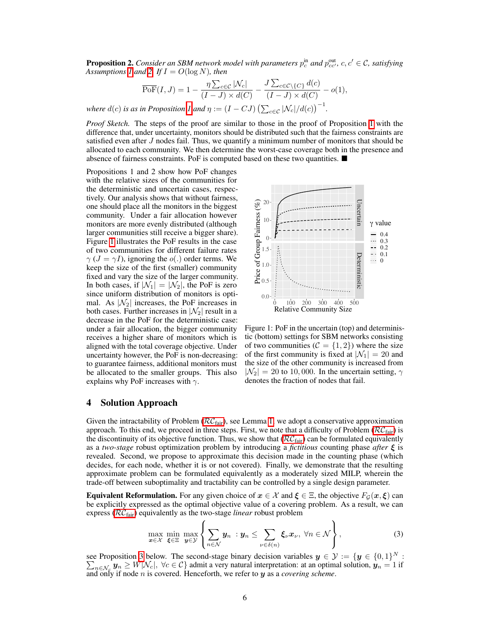**Proposition 2.** *Consider an SBM network model with parameters*  $p_c^{\text{in}}$  *and*  $p_{cc'}^{\text{out}}$ ,  $c, c' \in \mathcal{C}$ , satisfying *Assumptions*  $\overline{I}$  *and*  $\overline{2}$  *If*  $I = O(\log N)$ *, then* 

$$
\overline{\text{PoF}}(I, J) = 1 - \frac{\eta \sum_{c \in C} |\mathcal{N}_c|}{(I - J) \times d(C)} - \frac{J \sum_{c \in C \setminus \{C\}} d(c)}{(I - J) \times d(C)} - o(1),
$$
  
in Proposition  $\vert I \vert$  and  $\eta := (I - CJ) \left( \sum_{c \in C} |\mathcal{N}_c| / d(c) \right)^{-1}$ .

*where*  $d(c)$  *is as in Proposition*  $\boxed{l}$  and  $\eta := (I - CJ) \left( \sum_{c \in C} |\mathcal{N}_c|/d(c) \right)^{-1}$ 

*Proof Sketch.* The steps of the proof are similar to those in the proof of Proposition  $\prod$  with the difference that, under uncertainty, monitors should be distributed such that the fairness constraints are satisfied even after *J* nodes fail. Thus, we quantify a minimum number of monitors that should be allocated to each community. We then determine the worst-case coverage both in the presence and absence of fairness constraints. PoF is computed based on these two quantities.  $\blacksquare$ 

Propositions 1 and 2 show how PoF changes with the relative sizes of the communities for the deterministic and uncertain cases, respectively. Our analysis shows that without fairness, one should place all the monitors in the biggest community. Under a fair allocation however monitors are more evenly distributed (although larger communities still receive a bigger share). Figure  $\boxed{1}$  illustrates the PoF results in the case of two communities for different failure rates  $\gamma$  ( $J = \gamma I$ ), ignoring the  $o(.)$  order terms. We keep the size of the first (smaller) community fixed and vary the size of the larger community. In both cases, if  $|\mathcal{N}_1| = |\mathcal{N}_2|$ , the PoF is zero since uniform distribution of monitors is optimal. As  $|\mathcal{N}_2|$  increases, the PoF increases in both cases. Further increases in  $|\mathcal{N}_2|$  result in a decrease in the PoF for the deterministic case: under a fair allocation, the bigger community receives a higher share of monitors which is aligned with the total coverage objective. Under uncertainty however, the PoF is non-decreasing: to guarantee fairness, additional monitors must be allocated to the smaller groups. This also explains why PoF increases with  $\gamma$ .

<span id="page-5-0"></span>

Figure 1: PoF in the uncertain (top) and deterministic (bottom) settings for SBM networks consisting of two communities  $(C = \{1, 2\})$  where the size of the first community is fixed at  $|\mathcal{N}_1| = 20$  and the size of the other community is increased from  $|\mathcal{N}_2| = 20$  to 10,000. In the uncertain setting,  $\gamma$ denotes the fraction of nodes that fail.

#### 4 Solution Approach

Given the intractability of Problem  $(\overline{RC_{fair}})$ , see Lemma  $\overline{1}$ , we adopt a conservative approximation approach. To this end, we proceed in three steps. First, we note that a difficulty of Problem  $(\overline{RC_{\text{fair}}})$  is the discontinuity of its objective function. Thus, we show that  $(\overline{RC}_{fair})$  can be formulated equivalently as a *two-stage* robust optimization problem by introducing a *fictitious* counting phase *after*  $\xi$  is revealed. Second, we propose to approximate this decision made in the counting phase (which decides, for each node, whether it is or not covered). Finally, we demonstrate that the resulting approximate problem can be formulated equivalently as a moderately sized MILP, wherein the trade-off between suboptimality and tractability can be controlled by a single design parameter.

**Equivalent Reformulation.** For any given choice of  $x \in \mathcal{X}$  and  $\xi \in \Xi$ , the objective  $F_G(x,\xi)$  can be explicitly expressed as the optimal objective value of a covering problem. As a result, we can express (*RC*[fair\)](#page-3-0) equivalently as the two-stage *linear* robust problem

<span id="page-5-1"></span>
$$
\max_{\boldsymbol{x}\in\mathcal{X}}\min_{\boldsymbol{\xi}\in\Xi}\max_{\boldsymbol{y}\in\mathcal{Y}}\left\{\sum_{n\in\mathcal{N}}\boldsymbol{y}_n\;:\boldsymbol{y}_n\leq\sum_{\nu\in\delta(n)}\boldsymbol{\xi}_{\nu}\boldsymbol{x}_{\nu},\;\forall n\in\mathcal{N}\right\},\tag{3}
$$

see Proposition [3](#page-6-0) below. The second-stage binary decision variables  $y \in \mathcal{Y} := \{y \in \{0,1\}^N : \sum_{n \in \mathcal{N}} y_n \ge W |\mathcal{N}_c|, \forall c \in \mathcal{C}\}\$  admit a very natural interpretation: at an optimal solution,  $y_n = 1$  if and only if node *n* is covered. Henceforth, we refer to *y* as a *covering scheme*.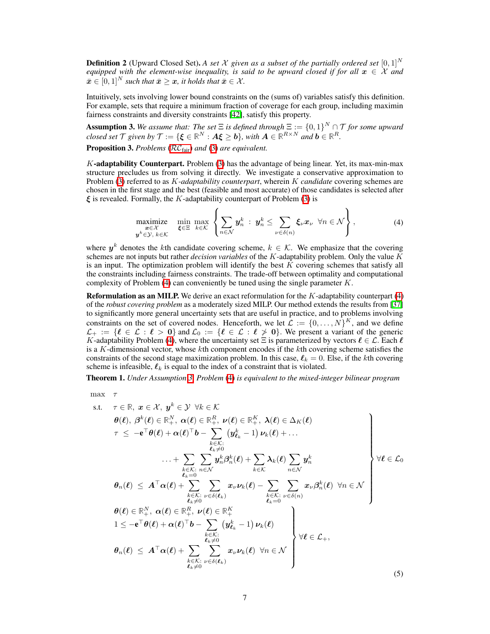**Definition 2** (Upward Closed Set). A set *X* given as a subset of the partially ordered set  $[0, 1]^N$ *equipped with the element-wise inequality, is said to be upward closed if for all*  $x \in \mathcal{X}$  *and*  $\bar{x} \in [0, 1]^N$  *such that*  $\bar{x} \geq x$ *, it holds that*  $\bar{x} \in \mathcal{X}$ *.* 

Intuitively, sets involving lower bound constraints on the (sums of) variables satisfy this definition. For example, sets that require a minimum fraction of coverage for each group, including maximin fairness constraints and diversity constraints [\[42\]](#page-11-6), satisfy this property.

<span id="page-6-2"></span>**Assumption 3.** We assume that: The set  $\Xi$  is defined through  $\Xi := \{0,1\}^N \cap \mathcal{T}$  for some upward *closed set*  $\mathcal{T}$  *given by*  $\mathcal{T} := \{ \boldsymbol{\xi} \in \mathbb{R}^N : A \boldsymbol{\xi} \geq \boldsymbol{b} \}$ *, with*  $A \in \mathbb{R}^{R \times N}$  and  $\boldsymbol{b} \in \mathbb{R}^R$ *.* Proposition 3. *Problems* (*RC*[fair\)](#page-3-0) *and* [\(3\)](#page-5-1) *are equivalent.*

<span id="page-6-0"></span> $K$ -adaptability Counterpart. Problem  $\left(\frac{1}{\sqrt{2}}\right)$  has the advantage of being linear. Yet, its max-min-max structure precludes us from solving it directly. We investigate a conservative approximation to Problem [\(3\)](#page-5-1) referred to as *K-adaptability counterpart*, wherein *K candidate* covering schemes are chosen in the first stage and the best (feasible and most accurate) of those candidates is selected after  $\xi$  is revealed. Formally, the *K*-adaptability counterpart of Problem  $\boxed{3}$  is

$$
\underset{\mathbf{y}^k \in \mathcal{Y}, \, k \in \mathcal{K}}{\text{maximize}} \quad \underset{\mathbf{\xi} \in \Xi}{\text{min}} \; \underset{k \in \mathcal{K}}{\text{max}} \left\{ \sum_{n \in \mathcal{N}} \mathbf{y}_n^k \; : \; \mathbf{y}_n^k \leq \sum_{\nu \in \delta(n)} \xi_{\nu} \mathbf{x}_{\nu} \; \; \forall n \in \mathcal{N} \right\}, \tag{4}
$$

<span id="page-6-3"></span><span id="page-6-1"></span> $\overline{ }$ 

where  $y^k$  denotes the *k*th candidate covering scheme,  $k \in \mathcal{K}$ . We emphasize that the covering schemes are not inputs but rather *decision variables* of the *K*-adaptability problem. Only the value *K* is an input. The optimization problem will identify the best *K* covering schemes that satisfy all the constraints including fairness constraints. The trade-off between optimality and computational complexity of Problem  $\left(\frac{\mu}{\sigma}\right)$  can conveniently be tuned using the single parameter *K*.

**Reformulation as an MILP.** We derive an exact reformulation for the  $K$ -adaptability counterpart  $(\frac{1}{4})$ of the *robust covering problem* as a moderately sized MILP. Our method extends the results from [\[37\]](#page-11-11) to significantly more general uncertainty sets that are useful in practice, and to problems involving constraints on the set of covered nodes. Henceforth, we let  $\mathcal{L} := \{0, \ldots, N\}^K$ , and we define  $\mathcal{L}_+ := \{ \ell \in \mathcal{L} : \ell > 0 \}$  and  $\mathcal{L}_0 := \{ \ell \in \mathcal{L} : \ell \geq 0 \}$ . We present a variant of the generic *K*-adaptability Problem [\(4\)](#page-6-1), where the uncertainty set  $\Xi$  is parameterized by vectors  $\ell \in \mathcal{L}$ . Each  $\ell$ is a *K*-dimensional vector, whose *k*th component encodes if the *k*th covering scheme satisfies the constraints of the second stage maximization problem. In this case,  $\ell_k = 0$ . Else, if the *k*th covering scheme is infeasible,  $\ell_k$  is equal to the index of a constraint that is violated.

Theorem 1. *Under Assumption [3,](#page-6-2) Problem* [\(4\)](#page-6-1) *is equivalent to the mixed-integer bilinear program*

max  $\tau$ 

s.t. 
$$
\tau \in \mathbb{R}, \ x \in \mathcal{X}, \ y^k \in \mathcal{Y} \ \forall k \in \mathcal{K}
$$
  
\n $\theta(\ell), \ \beta^k(\ell) \in \mathbb{R}_+^N, \ \alpha(\ell) \in \mathbb{R}_+^R, \ \nu(\ell) \in \mathbb{R}_+^K, \ \lambda(\ell) \in \Delta_K(\ell)$   
\n $\tau \le -e^{\top} \theta(\ell) + \alpha(\ell)^{\top} b - \sum_{\substack{k \in \mathcal{K}: \\ k \neq 0}}^{\infty} (y^k_{\ell_k} - 1) \nu_k(\ell) + \dots$   
\n $\dots + \sum_{\substack{k \in \mathcal{K}: \\ k \neq 0}}^{\infty} \sum_{n \in \mathcal{N}}^{\infty} y^k_n \beta^k_n(\ell) + \sum_{k \in \mathcal{K}} \lambda_k(\ell) \sum_{n \in \mathcal{N}} y^k_n$   
\n $\theta_n(\ell) \le A^{\top} \alpha(\ell) + \sum_{\substack{k \in \mathcal{K}: \\ \ell_k \neq 0}}^{\infty} \sum_{\substack{v \in \delta(\ell_k) \\ \ell_k \neq 0}}^{\infty} x_v \nu_k(\ell) - \sum_{\substack{k \in \mathcal{K}: \\ \ell_k \neq 0}}^{\infty} \sum_{\substack{v \in \delta(n) \\ \ell_k \neq 0}}^{\infty} x_v \beta^k_n(\ell) \ \forall n \in \mathcal{N}$   
\n $\theta(\ell) \in \mathbb{R}_+^N, \ \alpha(\ell) \in \mathbb{R}_+^R, \ \nu(\ell) \in \mathbb{R}_+^K$   
\n $1 \le -e^{\top} \theta(\ell) + \alpha(\ell)^{\top} b - \sum_{\substack{k \in \mathcal{K}: \\ \ell_k \neq 0}}^{\infty} (y^k_{\ell_k} - 1) \nu_k(\ell)$   
\n $\forall \ell \in \mathcal{L}_+$ ,  
\n $\theta_n(\ell) \le A^{\top} \alpha(\ell) + \sum_{\substack{k \in \mathcal{K}: \\ \ell_k \neq 0}}^{\infty} \sum_{\substack{v \in \delta(\ell_k) \\ \ell_k \neq 0}}^{\infty} x_v \nu_k(\ell) \ \forall n \in \mathcal{N}$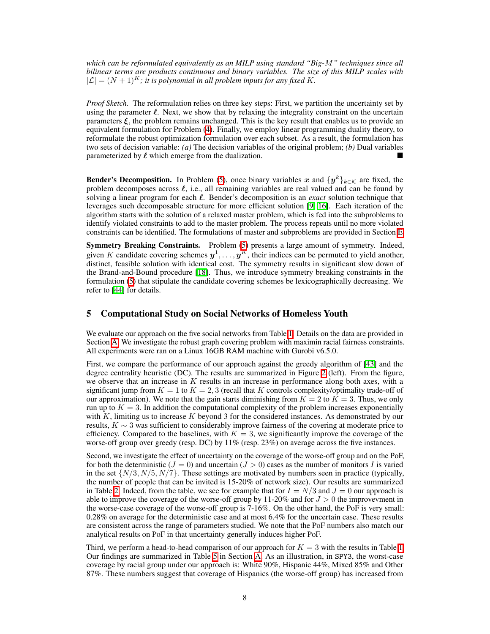*which can be reformulated equivalently as an MILP using standard "Big-M" techniques since all bilinear terms are products continuous and binary variables. The size of this MILP scales with*  $|{\cal L}| = (N + 1)^K$ ; it is polynomial in all problem inputs for any fixed K.

*Proof Sketch.* The reformulation relies on three key steps: First, we partition the uncertainty set by using the parameter  $\ell$ . Next, we show that by relaxing the integrality constraint on the uncertain parameters  $\xi$ , the problem remains unchanged. This is the key result that enables us to provide an equivalent formulation for Problem  $\left(\frac{\pi}{4}\right)$ . Finally, we employ linear programming duality theory, to reformulate the robust optimization formulation over each subset. As a result, the formulation has two sets of decision variable: *(a)* The decision variables of the original problem; *(b)* Dual variables parameterized by  $\ell$  which emerge from the dualization.

**Bender's Decomposition.** In Problem [\(5\)](#page-6-3), once binary variables x and  $\{y^k\}_{k\in\mathcal{K}}$  are fixed, the problem decomposes across  $\ell$ , i.e., all remaining variables are real valued and can be found by solving a linear program for each  $\ell$ . Bender's decomposition is an *exact* solution technique that leverages such decomposable structure for more efficient solution  $[9, 16]$  $[9, 16]$  $[9, 16]$ . Each iteration of the algorithm starts with the solution of a relaxed master problem, which is fed into the subproblems to identify violated constraints to add to the master problem. The process repeats until no more violated constraints can be identified. The formulations of master and subproblems are provided in Section  $\mathbf{E}$ .

Symmetry Breaking Constraints. Problem **5** presents a large amount of symmetry. Indeed, given *K* candidate covering schemes  $y^1, \ldots, y^K$ , their indices can be permuted to yield another, distinct, feasible solution with identical cost. The symmetry results in significant slow down of the Brand-and-Bound procedure [\[18\]](#page-10-16). Thus, we introduce symmetry breaking constraints in the formulation  $\overline{5}$  that stipulate the candidate covering schemes be lexicographically decreasing. We refer to  $[44]$  for details.

#### 5 Computational Study on Social Networks of Homeless Youth

We evaluate our approach on the five social networks from Table  $\Pi$ . Details on the data are provided in Section  $\overline{A}$ . We investigate the robust graph covering problem with maximin racial fairness constraints. All experiments were ran on a Linux 16GB RAM machine with Gurobi v6.5.0.

First, we compare the performance of our approach against the greedy algorithm of  $[43]$  and the degree centrality heuristic (DC). The results are summarized in Figure  $\sqrt{2}$  (left). From the figure, we observe that an increase in *K* results in an increase in performance along both axes, with a significant jump from  $K = 1$  to  $K = 2, 3$  (recall that K controls complexity/optimality trade-off of our approximation). We note that the gain starts diminishing from  $K = 2$  to  $K = 3$ . Thus, we only run up to  $K = 3$ . In addition the computational complexity of the problem increases exponentially with *K*, limiting us to increase *K* beyond 3 for the considered instances. As demonstrated by our results,  $K \sim 3$  was sufficient to considerably improve fairness of the covering at moderate price to efficiency. Compared to the baselines, with  $K = 3$ , we significantly improve the coverage of the worse-off group over greedy (resp. DC) by 11% (resp. 23%) on average across the five instances.

Second, we investigate the effect of uncertainty on the coverage of the worse-off group and on the PoF, for both the deterministic ( $J = 0$ ) and uncertain ( $J > 0$ ) cases as the number of monitors I is varied in the set  $\{N/3, N/5, N/7\}$ . These settings are motivated by numbers seen in practice (typically, the number of people that can be invited is 15-20% of network size). Our results are summarized in Table  $\overline{2}$ . Indeed, from the table, we see for example that for  $I = N/3$  and  $J = 0$  our approach is able to improve the coverage of the worse-off group by  $11{\text -}20\%$  and for  $J > 0$  the improvevment in the worse-case coverage of the worse-off group is 7-16%. On the other hand, the PoF is very small: 0.28% on average for the deterministic case and at most 6.4% for the uncertain case. These results are consistent across the range of parameters studied. We note that the PoF numbers also match our analytical results on PoF in that uncertainty generally induces higher PoF.

Third, we perform a head-to-head comparison of our approach for  $K = 3$  with the results in Table  $\overline{\Pi}$ . Our findings are summarized in Table  $\overline{5}$  in Section [A.](#page-0-1) As an illustration, in SPY3, the worst-case coverage by racial group under our approach is: White 90%, Hispanic 44%, Mixed 85% and Other 87%. These numbers suggest that coverage of Hispanics (the worse-off group) has increased from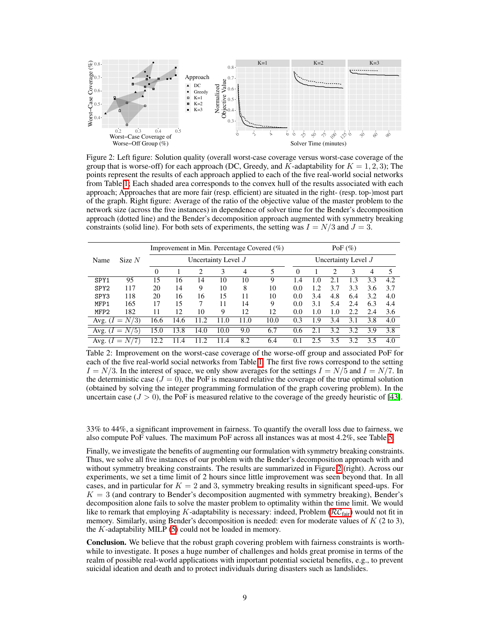<span id="page-8-0"></span>

Figure 2: Left figure: Solution quality (overall worst-case coverage versus worst-case coverage of the group that is worse-off) for each approach (DC, Greedy, and  $K$ -adaptability for  $K = 1, 2, 3$ ); The points represent the results of each approach applied to each of the five real-world social networks from Table  $\prod$ ; Each shaded area corresponds to the convex hull of the results associated with each approach; Approaches that are more fair (resp. efficient) are situated in the right- (resp. top-)most part of the graph. Right figure: Average of the ratio of the objective value of the master problem to the network size (across the five instances) in dependence of solver time for the Bender's decomposition approach (dotted line) and the Bender's decomposition approach augmented with symmetry breaking constraints (solid line). For both sets of experiments, the setting was  $I = N/3$  and  $J = 3$ .

<span id="page-8-1"></span>

|                  |                  | Improvement in Min. Percentage Covered $(\%)$ |           |         |      |      | PoF $(\%)$ |                       |     |                |     |                |     |
|------------------|------------------|-----------------------------------------------|-----------|---------|------|------|------------|-----------------------|-----|----------------|-----|----------------|-----|
| Name             | Size $N$         | Uncertainty Level J                           |           |         |      |      |            | Uncertainty Level $J$ |     |                |     |                |     |
|                  |                  | $\mathbf{0}$                                  |           | 2       | 3    | 4    | 5          | $\Omega$              |     | $\mathfrak{D}$ | 3   | $\overline{4}$ | 5   |
| SPY1             | 95               | 15                                            | 16        | 14      | 10   | 10   | 9          | 1.4                   | 1.0 |                | 1.3 | 3.3            | 4.2 |
| SPY <sub>2</sub> | 117              | 20                                            | 14        | 9       | 10   | 8    | 10         | 0.0                   | 1.2 | 3.7            | 3.3 | 3.6            | 3.7 |
| SPY <sub>3</sub> | 118              | 20                                            | 16        | 16      | 15   | 11   | 10         | 0.0                   | 3.4 | 4.8            | 6.4 | 3.2            | 4.0 |
| MFP1             | 165              | 17                                            | 15        | 7       | 11   | 14   | 9          | 0.0                   | 3.1 | 5.4            | 2.4 | 6.3            | 4.4 |
| MFP <sub>2</sub> | 182              | 11                                            | 12        | 10      | 9    | 12   | 12         | 0.0                   | 1.0 | 1.0            | 2.2 | 2.4            | 3.6 |
|                  | Avg. $(I = N/3)$ | 16.6                                          | 14.6      | $\cdot$ | 11.0 | 11.0 | 10.0       | 0.3                   | 1.9 | 3.4            | 3.1 | 3.8            | 4.0 |
| Avg. $(I =$      | N/5              | 15.0                                          | 13.8      | 14.0    | 10.0 | 9.0  | 6.7        | 0.6                   | 2.1 | 3.2            | 3.2 | 3.9            | 3.8 |
| Avg. $(I =$      | N/               | 12.2                                          | $\cdot^4$ |         | 11.4 | 8.2  | 6.4        | 0.1                   | 2.5 | 35             | 3.2 | 3.5            | 4.0 |

Table 2: Improvement on the worst-case coverage of the worse-off group and associated PoF for each of the five real-world social networks from Table  $\overline{1}$ . The first five rows correspond to the setting  $I = N/3$ . In the interest of space, we only show averages for the settings  $I = N/5$  and  $I = N/7$ . In the deterministic case  $(J = 0)$ , the PoF is measured relative the coverage of the true optimal solution (obtained by solving the integer programming formulation of the graph covering problem). In the uncertain case ( $J > 0$ ), the PoF is measured relative to the coverage of the greedy heuristic of  $[43]$ .

33% to 44%, a significant improvement in fairness. To quantify the overall loss due to fairness, we also compute PoF values. The maximum PoF across all instances was at most  $4.2\%$ , see Table  $\overline{5}$ .

Finally, we investigate the benefits of augmenting our formulation with symmetry breaking constraints. Thus, we solve all five instances of our problem with the Bender's decomposition approach with and without symmetry breaking constraints. The results are summarized in Figure  $\sum$  (right). Across our experiments, we set a time limit of 2 hours since little improvement was seen beyond that. In all cases, and in particular for  $K = 2$  and 3, symmetry breaking results in significant speed-ups. For  $K = 3$  (and contrary to Bender's decomposition augmented with symmetry breaking), Bender's decomposition alone fails to solve the master problem to optimality within the time limit. We would like to remark that employing *K*-adaptability is necessary: indeed, Problem ( $\overline{RC_{fair}}$ ) would not fit in memory. Similarly, using Bender's decomposition is needed: even for moderate values of *K* (2 to 3), the *K*-adaptability MILP  $(5)$  could not be loaded in memory.

Conclusion. We believe that the robust graph covering problem with fairness constraints is worthwhile to investigate. It poses a huge number of challenges and holds great promise in terms of the realm of possible real-world applications with important potential societal benefits, e.g., to prevent suicidal ideation and death and to protect individuals during disasters such as landslides.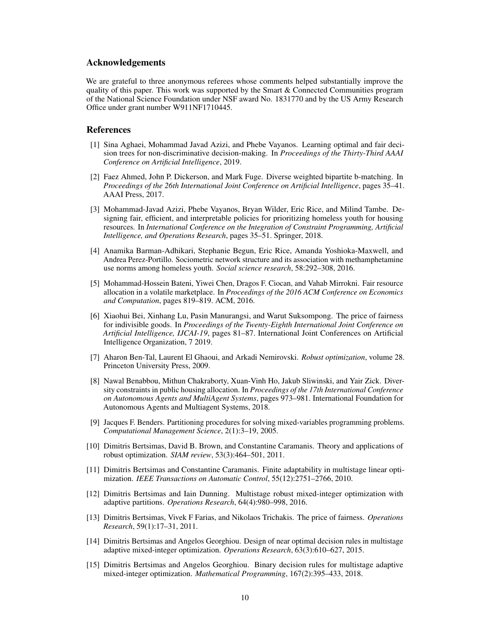#### Acknowledgements

We are grateful to three anonymous referees whose comments helped substantially improve the quality of this paper. This work was supported by the Smart & Connected Communities program of the National Science Foundation under NSF award No. 1831770 and by the US Army Research Office under grant number W911NF1710445.

#### References

- <span id="page-9-2"></span>[1] Sina Aghaei, Mohammad Javad Azizi, and Phebe Vayanos. Learning optimal and fair decision trees for non-discriminative decision-making. In *Proceedings of the Thirty-Third AAAI Conference on Artificial Intelligence*, 2019.
- <span id="page-9-4"></span>[2] Faez Ahmed, John P. Dickerson, and Mark Fuge. Diverse weighted bipartite b-matching. In *Proceedings of the 26th International Joint Conference on Artificial Intelligence*, pages 35–41. AAAI Press, 2017.
- <span id="page-9-7"></span>[3] Mohammad-Javad Azizi, Phebe Vayanos, Bryan Wilder, Eric Rice, and Milind Tambe. Designing fair, efficient, and interpretable policies for prioritizing homeless youth for housing resources. In *International Conference on the Integration of Constraint Programming, Artificial Intelligence, and Operations Research*, pages 35–51. Springer, 2018.
- <span id="page-9-0"></span>[4] Anamika Barman-Adhikari, Stephanie Begun, Eric Rice, Amanda Yoshioka-Maxwell, and Andrea Perez-Portillo. Sociometric network structure and its association with methamphetamine use norms among homeless youth. *Social science research*, 58:292–308, 2016.
- <span id="page-9-6"></span>[5] Mohammad-Hossein Bateni, Yiwei Chen, Dragos F. Ciocan, and Vahab Mirrokni. Fair resource allocation in a volatile marketplace. In *Proceedings of the 2016 ACM Conference on Economics and Computation*, pages 819–819. ACM, 2016.
- <span id="page-9-5"></span>[6] Xiaohui Bei, Xinhang Lu, Pasin Manurangsi, and Warut Suksompong. The price of fairness for indivisible goods. In *Proceedings of the Twenty-Eighth International Joint Conference on Artificial Intelligence, IJCAI-19*, pages 81–87. International Joint Conferences on Artificial Intelligence Organization, 7 2019.
- <span id="page-9-8"></span>[7] Aharon Ben-Tal, Laurent El Ghaoui, and Arkadi Nemirovski. *Robust optimization*, volume 28. Princeton University Press, 2009.
- <span id="page-9-3"></span>[8] Nawal Benabbou, Mithun Chakraborty, Xuan-Vinh Ho, Jakub Sliwinski, and Yair Zick. Diversity constraints in public housing allocation. In *Proceedings of the 17th International Conference on Autonomous Agents and MultiAgent Systems*, pages 973–981. International Foundation for Autonomous Agents and Multiagent Systems, 2018.
- <span id="page-9-14"></span>[9] Jacques F. Benders. Partitioning procedures for solving mixed-variables programming problems. *Computational Management Science*, 2(1):3–19, 2005.
- <span id="page-9-9"></span>[10] Dimitris Bertsimas, David B. Brown, and Constantine Caramanis. Theory and applications of robust optimization. *SIAM review*, 53(3):464–501, 2011.
- <span id="page-9-13"></span>[11] Dimitris Bertsimas and Constantine Caramanis. Finite adaptability in multistage linear optimization. *IEEE Transactions on Automatic Control*, 55(12):2751–2766, 2010.
- <span id="page-9-11"></span>[12] Dimitris Bertsimas and Iain Dunning. Multistage robust mixed-integer optimization with adaptive partitions. *Operations Research*, 64(4):980–998, 2016.
- <span id="page-9-1"></span>[13] Dimitris Bertsimas, Vivek F Farias, and Nikolaos Trichakis. The price of fairness. *Operations Research*, 59(1):17–31, 2011.
- <span id="page-9-10"></span>[14] Dimitris Bertsimas and Angelos Georghiou. Design of near optimal decision rules in multistage adaptive mixed-integer optimization. *Operations Research*, 63(3):610–627, 2015.
- <span id="page-9-12"></span>[15] Dimitris Bertsimas and Angelos Georghiou. Binary decision rules for multistage adaptive mixed-integer optimization. *Mathematical Programming*, 167(2):395–433, 2018.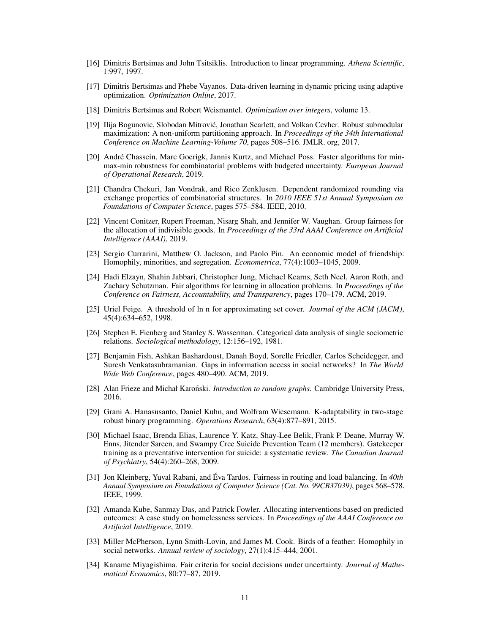- <span id="page-10-15"></span>[16] Dimitris Bertsimas and John Tsitsiklis. Introduction to linear programming. *Athena Scientific*, 1:997, 1997.
- <span id="page-10-9"></span>[17] Dimitris Bertsimas and Phebe Vayanos. Data-driven learning in dynamic pricing using adaptive optimization. *Optimization Online*, 2017.
- <span id="page-10-16"></span>[18] Dimitris Bertsimas and Robert Weismantel. *Optimization over integers*, volume 13.
- <span id="page-10-1"></span>[19] Ilija Bogunovic, Slobodan Mitrovic, Jonathan Scarlett, and Volkan Cevher. Robust submodular ´ maximization: A non-uniform partitioning approach. In *Proceedings of the 34th International Conference on Machine Learning-Volume 70*, pages 508–516. JMLR. org, 2017.
- <span id="page-10-11"></span>[20] André Chassein, Marc Goerigk, Jannis Kurtz, and Michael Poss. Faster algorithms for minmax-min robustness for combinatorial problems with budgeted uncertainty. *European Journal of Operational Research*, 2019.
- <span id="page-10-8"></span>[21] Chandra Chekuri, Jan Vondrak, and Rico Zenklusen. Dependent randomized rounding via exchange properties of combinatorial structures. In *2010 IEEE 51st Annual Symposium on Foundations of Computer Science*, pages 575–584. IEEE, 2010.
- <span id="page-10-3"></span>[22] Vincent Conitzer, Rupert Freeman, Nisarg Shah, and Jennifer W. Vaughan. Group fairness for the allocation of indivisible goods. In *Proceedings of the 33rd AAAI Conference on Artificial Intelligence (AAAI)*, 2019.
- <span id="page-10-13"></span>[23] Sergio Currarini, Matthew O. Jackson, and Paolo Pin. An economic model of friendship: Homophily, minorities, and segregation. *Econometrica*, 77(4):1003–1045, 2009.
- <span id="page-10-4"></span>[24] Hadi Elzayn, Shahin Jabbari, Christopher Jung, Michael Kearns, Seth Neel, Aaron Roth, and Zachary Schutzman. Fair algorithms for learning in allocation problems. In *Proceedings of the Conference on Fairness, Accountability, and Transparency*, pages 170–179. ACM, 2019.
- [25] Uriel Feige. A threshold of ln n for approximating set cover. *Journal of the ACM (JACM)*, 45(4):634–652, 1998.
- <span id="page-10-14"></span>[26] Stephen E. Fienberg and Stanley S. Wasserman. Categorical data analysis of single sociometric relations. *Sociological methodology*, 12:156–192, 1981.
- <span id="page-10-5"></span>[27] Benjamin Fish, Ashkan Bashardoust, Danah Boyd, Sorelle Friedler, Carlos Scheidegger, and Suresh Venkatasubramanian. Gaps in information access in social networks? In *The World Wide Web Conference*, pages 480–490. ACM, 2019.
- [28] Alan Frieze and Michał Karoński. *Introduction to random graphs*. Cambridge University Press, 2016.
- <span id="page-10-10"></span>[29] Grani A. Hanasusanto, Daniel Kuhn, and Wolfram Wiesemann. K-adaptability in two-stage robust binary programming. *Operations Research*, 63(4):877–891, 2015.
- <span id="page-10-0"></span>[30] Michael Isaac, Brenda Elias, Laurence Y. Katz, Shay-Lee Belik, Frank P. Deane, Murray W. Enns, Jitender Sareen, and Swampy Cree Suicide Prevention Team (12 members). Gatekeeper training as a preventative intervention for suicide: a systematic review. *The Canadian Journal of Psychiatry*, 54(4):260–268, 2009.
- <span id="page-10-2"></span>[31] Jon Kleinberg, Yuval Rabani, and Éva Tardos. Fairness in routing and load balancing. In *40th Annual Symposium on Foundations of Computer Science (Cat. No. 99CB37039)*, pages 568–578. IEEE, 1999.
- <span id="page-10-7"></span>[32] Amanda Kube, Sanmay Das, and Patrick Fowler. Allocating interventions based on predicted outcomes: A case study on homelessness services. In *Proceedings of the AAAI Conference on Artificial Intelligence*, 2019.
- <span id="page-10-12"></span>[33] Miller McPherson, Lynn Smith-Lovin, and James M. Cook. Birds of a feather: Homophily in social networks. *Annual review of sociology*, 27(1):415–444, 2001.
- <span id="page-10-6"></span>[34] Kaname Miyagishima. Fair criteria for social decisions under uncertainty. *Journal of Mathematical Economics*, 80:77–87, 2019.